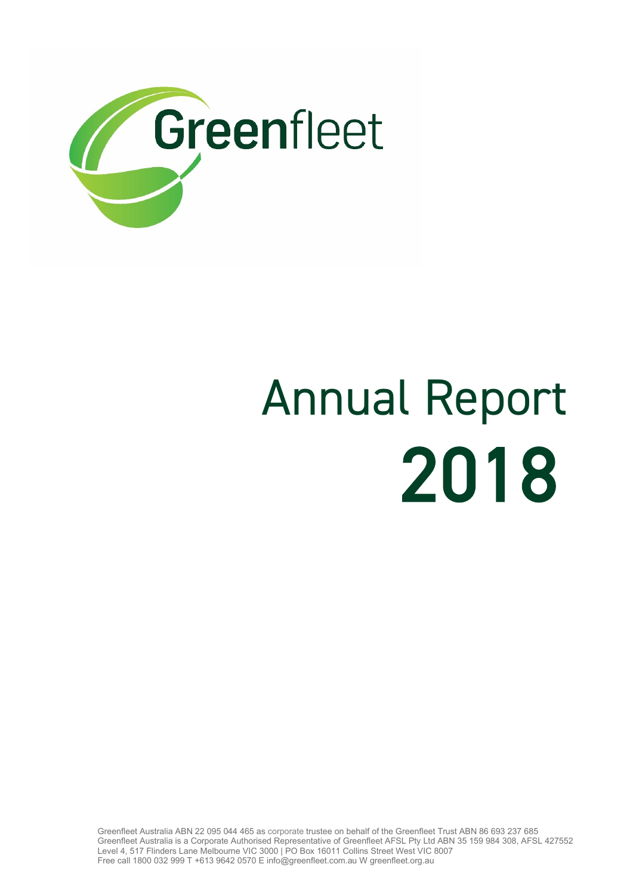

# 2018 Annual Report

Greenfleet Australia ABN 22 095 044 465 as corporate trustee on behalf of the Greenfleet Trust ABN 86 693 237 685 Greenfleet Australia is a Corporate Authorised Representative of Greenfleet AFSL Pty Ltd ABN 35 159 984 308, AFSL 427552 Level 4, 517 Flinders Lane Melbourne VIC 3000 | PO Box 16011 Collins Street West VIC 8007 Free call 1800 032 999 T +613 9642 0570 E info@greenfleet.com.au W greenfleet.org.au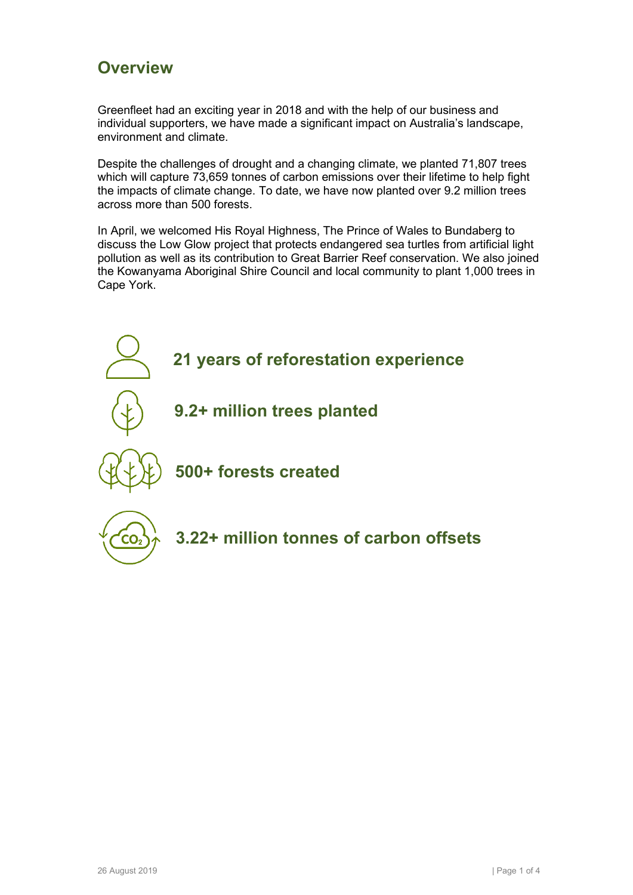#### **Overview**

Greenfleet had an exciting year in 2018 and with the help of our business and individual supporters, we have made a significant impact on Australia's landscape, environment and climate.

Despite the challenges of drought and a changing climate, we planted 71,807 trees which will capture 73,659 tonnes of carbon emissions over their lifetime to help fight the impacts of climate change. To date, we have now planted over 9.2 million trees across more than 500 forests.

In April, we welcomed His Royal Highness, The Prince of Wales to Bundaberg to discuss the Low Glow project that protects endangered sea turtles from artificial light pollution as well as its contribution to Great Barrier Reef conservation. We also joined the Kowanyama Aboriginal Shire Council and local community to plant 1,000 trees in Cape York.

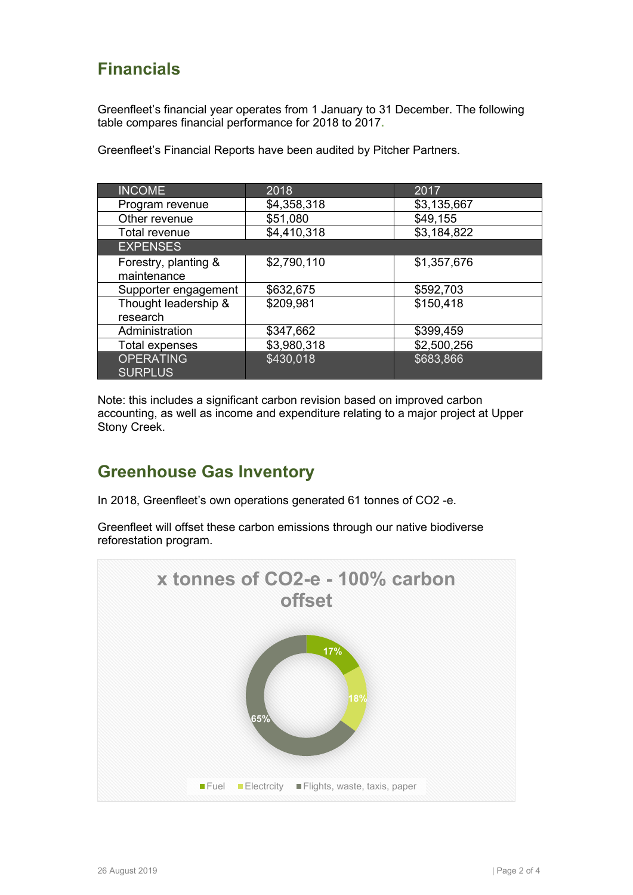# **Financials**

Greenfleet's financial year operates from 1 January to 31 December. The following table compares financial performance for 2018 to 2017**.** 

| <b>INCOME</b>                       | 2018        | 2017        |
|-------------------------------------|-------------|-------------|
| Program revenue                     | \$4,358,318 | \$3,135,667 |
| Other revenue                       | \$51,080    | \$49,155    |
| <b>Total revenue</b>                | \$4,410,318 | \$3,184,822 |
| <b>EXPENSES</b>                     |             |             |
| Forestry, planting &<br>maintenance | \$2,790,110 | \$1,357,676 |
| Supporter engagement                | \$632,675   | \$592,703   |
| Thought leadership &<br>research    | \$209,981   | \$150,418   |
| Administration                      | \$347,662   | \$399,459   |
| Total expenses                      | \$3,980,318 | \$2,500,256 |
| <b>OPERATING</b><br><b>SURPLUS</b>  | \$430,018   | \$683,866   |

Greenfleet's Financial Reports have been audited by Pitcher Partners.

Note: this includes a significant carbon revision based on improved carbon accounting, as well as income and expenditure relating to a major project at Upper Stony Creek.

### **Greenhouse Gas Inventory**

In 2018, Greenfleet's own operations generated 61 tonnes of CO2 -e.

Greenfleet will offset these carbon emissions through our native biodiverse reforestation program.

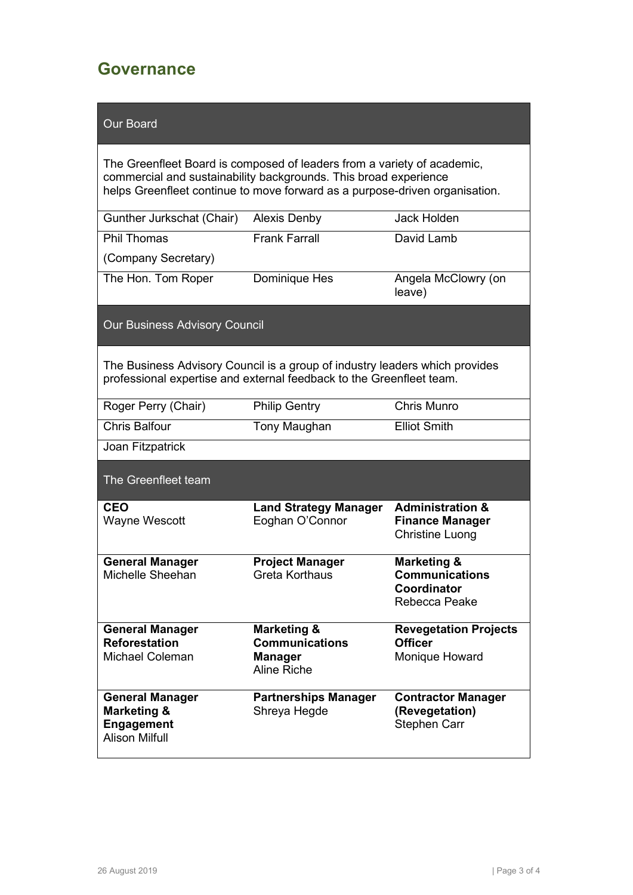#### **Governance**

#### Our Board

The Greenfleet Board is composed of leaders from a variety of academic, commercial and sustainability backgrounds. This broad experience helps Greenfleet continue to move forward as a purpose-driven organisation.

| Gunther Jurkschat (Chair) | <b>Alexis Denby</b>  | Jack Holden                   |
|---------------------------|----------------------|-------------------------------|
| <b>Phil Thomas</b>        | <b>Frank Farrall</b> | David Lamb                    |
| (Company Secretary)       |                      |                               |
| The Hon. Tom Roper        | Dominique Hes        | Angela McClowry (on<br>leave) |

Our Business Advisory Council

The Business Advisory Council is a group of industry leaders which provides professional expertise and external feedback to the Greenfleet team.

| Roger Perry (Chair)                                                                            | <b>Philip Gentry</b>                                                             | Chris Munro                                                                     |
|------------------------------------------------------------------------------------------------|----------------------------------------------------------------------------------|---------------------------------------------------------------------------------|
| Chris Balfour                                                                                  | Tony Maughan                                                                     | <b>Elliot Smith</b>                                                             |
| Joan Fitzpatrick                                                                               |                                                                                  |                                                                                 |
| The Greenfleet team                                                                            |                                                                                  |                                                                                 |
| <b>CEO</b><br>Wayne Wescott                                                                    | <b>Land Strategy Manager</b><br>Eoghan O'Connor                                  | <b>Administration &amp;</b><br><b>Finance Manager</b><br><b>Christine Luong</b> |
| <b>General Manager</b><br>Michelle Sheehan                                                     | <b>Project Manager</b><br>Greta Korthaus                                         | Marketing &<br><b>Communications</b><br>Coordinator<br>Rebecca Peake            |
| <b>General Manager</b><br><b>Reforestation</b><br>Michael Coleman                              | <b>Marketing &amp;</b><br><b>Communications</b><br><b>Manager</b><br>Aline Riche | <b>Revegetation Projects</b><br><b>Officer</b><br>Monique Howard                |
| <b>General Manager</b><br><b>Marketing &amp;</b><br><b>Engagement</b><br><b>Alison Milfull</b> | <b>Partnerships Manager</b><br>Shreya Hegde                                      | <b>Contractor Manager</b><br>(Revegetation)<br>Stephen Carr                     |